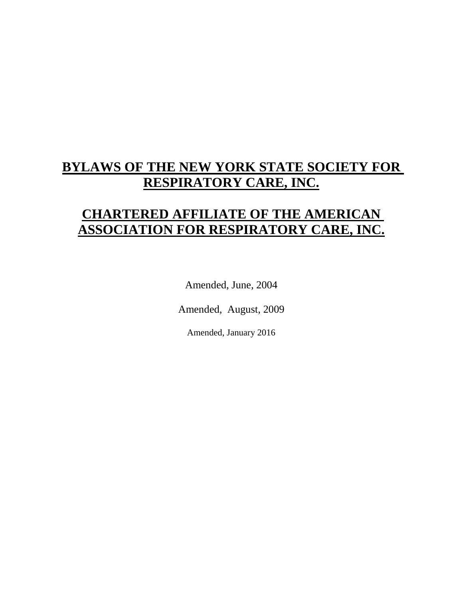# **BYLAWS OF THE NEW YORK STATE SOCIETY FOR RESPIRATORY CARE, INC.**

# **CHARTERED AFFILIATE OF THE AMERICAN ASSOCIATION FOR RESPIRATORY CARE, INC.**

Amended, June, 2004

Amended, August, 2009

Amended, January 2016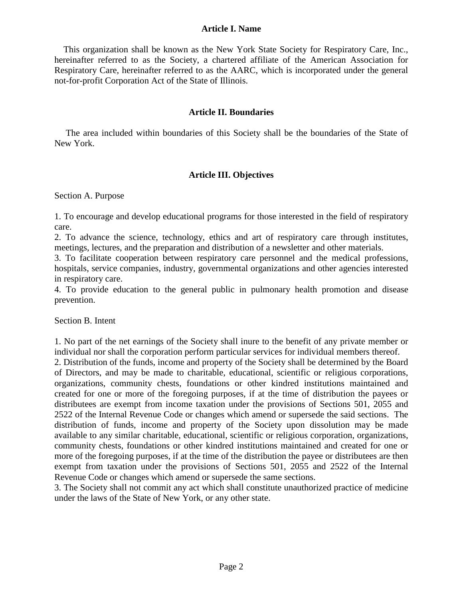#### **Article I. Name**

 This organization shall be known as the New York State Society for Respiratory Care, Inc., hereinafter referred to as the Society, a chartered affiliate of the American Association for Respiratory Care, hereinafter referred to as the AARC, which is incorporated under the general not-for-profit Corporation Act of the State of Illinois.

#### **Article II. Boundaries**

 The area included within boundaries of this Society shall be the boundaries of the State of New York.

## **Article III. Objectives**

Section A. Purpose

1. To encourage and develop educational programs for those interested in the field of respiratory care.

2. To advance the science, technology, ethics and art of respiratory care through institutes, meetings, lectures, and the preparation and distribution of a newsletter and other materials.

3. To facilitate cooperation between respiratory care personnel and the medical professions, hospitals, service companies, industry, governmental organizations and other agencies interested in respiratory care.

4. To provide education to the general public in pulmonary health promotion and disease prevention.

Section B. Intent

1. No part of the net earnings of the Society shall inure to the benefit of any private member or individual nor shall the corporation perform particular services for individual members thereof.

2. Distribution of the funds, income and property of the Society shall be determined by the Board of Directors, and may be made to charitable, educational, scientific or religious corporations, organizations, community chests, foundations or other kindred institutions maintained and created for one or more of the foregoing purposes, if at the time of distribution the payees or distributees are exempt from income taxation under the provisions of Sections 501, 2055 and 2522 of the Internal Revenue Code or changes which amend or supersede the said sections. The distribution of funds, income and property of the Society upon dissolution may be made available to any similar charitable, educational, scientific or religious corporation, organizations, community chests, foundations or other kindred institutions maintained and created for one or more of the foregoing purposes, if at the time of the distribution the payee or distributees are then exempt from taxation under the provisions of Sections 501, 2055 and 2522 of the Internal Revenue Code or changes which amend or supersede the same sections.

3. The Society shall not commit any act which shall constitute unauthorized practice of medicine under the laws of the State of New York, or any other state.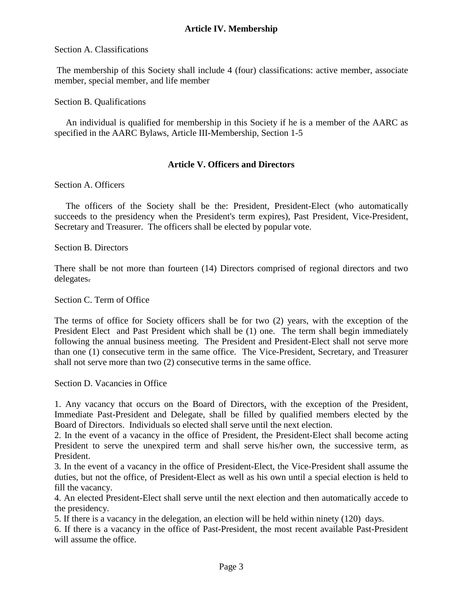## **Article IV. Membership**

#### Section A. Classifications

The membership of this Society shall include 4 (four) classifications: active member, associate member, special member, and life member

#### Section B. Qualifications

 An individual is qualified for membership in this Society if he is a member of the AARC as specified in the AARC Bylaws, Article III-Membership, Section 1-5

#### **Article V. Officers and Directors**

#### Section A. Officers

 The officers of the Society shall be the: President, President-Elect (who automatically succeeds to the presidency when the President's term expires), Past President, Vice-President, Secretary and Treasurer. The officers shall be elected by popular vote.

Section B. Directors

There shall be not more than fourteen (14) Directors comprised of regional directors and two delegates.

Section C. Term of Office

The terms of office for Society officers shall be for two (2) years, with the exception of the President Elect and Past President which shall be (1) one. The term shall begin immediately following the annual business meeting. The President and President-Elect shall not serve more than one (1) consecutive term in the same office. The Vice-President, Secretary, and Treasurer shall not serve more than two (2) consecutive terms in the same office.

Section D. Vacancies in Office

1. Any vacancy that occurs on the Board of Directors, with the exception of the President, Immediate Past-President and Delegate, shall be filled by qualified members elected by the Board of Directors. Individuals so elected shall serve until the next election.

2. In the event of a vacancy in the office of President, the President-Elect shall become acting President to serve the unexpired term and shall serve his/her own, the successive term, as President.

3. In the event of a vacancy in the office of President-Elect, the Vice-President shall assume the duties, but not the office, of President-Elect as well as his own until a special election is held to fill the vacancy.

4. An elected President-Elect shall serve until the next election and then automatically accede to the presidency.

5. If there is a vacancy in the delegation, an election will be held within ninety (120) days.

6. If there is a vacancy in the office of Past-President, the most recent available Past-President will assume the office.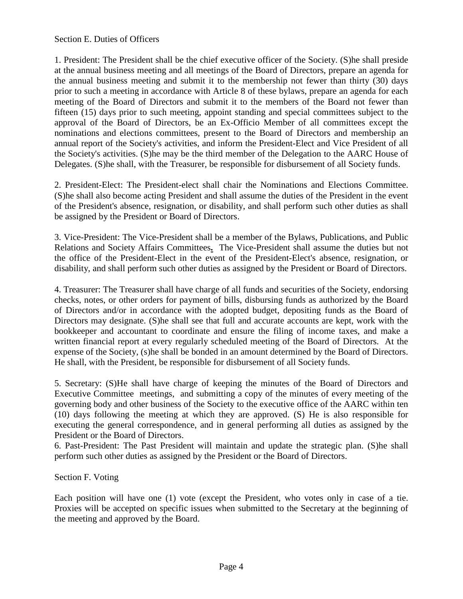## Section E. Duties of Officers

1. President: The President shall be the chief executive officer of the Society. (S)he shall preside at the annual business meeting and all meetings of the Board of Directors, prepare an agenda for the annual business meeting and submit it to the membership not fewer than thirty (30) days prior to such a meeting in accordance with Article 8 of these bylaws, prepare an agenda for each meeting of the Board of Directors and submit it to the members of the Board not fewer than fifteen (15) days prior to such meeting, appoint standing and special committees subject to the approval of the Board of Directors, be an Ex-Officio Member of all committees except the nominations and elections committees, present to the Board of Directors and membership an annual report of the Society's activities, and inform the President-Elect and Vice President of all the Society's activities. (S)he may be the third member of the Delegation to the AARC House of Delegates. (S)he shall, with the Treasurer, be responsible for disbursement of all Society funds.

2. President-Elect: The President-elect shall chair the Nominations and Elections Committee. (S)he shall also become acting President and shall assume the duties of the President in the event of the President's absence, resignation, or disability, and shall perform such other duties as shall be assigned by the President or Board of Directors.

3. Vice-President: The Vice-President shall be a member of the Bylaws, Publications, and Public Relations and Society Affairs Committees**.** The Vice-President shall assume the duties but not the office of the President-Elect in the event of the President-Elect's absence, resignation, or disability, and shall perform such other duties as assigned by the President or Board of Directors.

4. Treasurer: The Treasurer shall have charge of all funds and securities of the Society, endorsing checks, notes, or other orders for payment of bills, disbursing funds as authorized by the Board of Directors and/or in accordance with the adopted budget, depositing funds as the Board of Directors may designate. (S)he shall see that full and accurate accounts are kept, work with the bookkeeper and accountant to coordinate and ensure the filing of income taxes, and make a written financial report at every regularly scheduled meeting of the Board of Directors. At the expense of the Society, (s)he shall be bonded in an amount determined by the Board of Directors. He shall, with the President, be responsible for disbursement of all Society funds.

5. Secretary: (S)He shall have charge of keeping the minutes of the Board of Directors and Executive Committee meetings, and submitting a copy of the minutes of every meeting of the governing body and other business of the Society to the executive office of the AARC within ten (10) days following the meeting at which they are approved. (S) He is also responsible for executing the general correspondence, and in general performing all duties as assigned by the President or the Board of Directors.

6. Past-President: The Past President will maintain and update the strategic plan. (S)he shall perform such other duties as assigned by the President or the Board of Directors.

Section F. Voting

Each position will have one (1) vote (except the President, who votes only in case of a tie. Proxies will be accepted on specific issues when submitted to the Secretary at the beginning of the meeting and approved by the Board.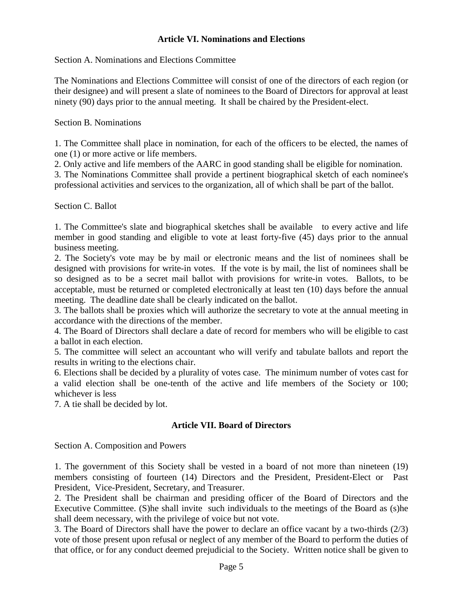## **Article VI. Nominations and Elections**

Section A. Nominations and Elections Committee

The Nominations and Elections Committee will consist of one of the directors of each region (or their designee) and will present a slate of nominees to the Board of Directors for approval at least ninety (90) days prior to the annual meeting. It shall be chaired by the President-elect.

Section B. Nominations

1. The Committee shall place in nomination, for each of the officers to be elected, the names of one (1) or more active or life members.

2. Only active and life members of the AARC in good standing shall be eligible for nomination.

3. The Nominations Committee shall provide a pertinent biographical sketch of each nominee's professional activities and services to the organization, all of which shall be part of the ballot.

Section C. Ballot

1. The Committee's slate and biographical sketches shall be available to every active and life member in good standing and eligible to vote at least forty-five (45) days prior to the annual business meeting.

2. The Society's vote may be by mail or electronic means and the list of nominees shall be designed with provisions for write-in votes. If the vote is by mail, the list of nominees shall be so designed as to be a secret mail ballot with provisions for write-in votes. Ballots, to be acceptable, must be returned or completed electronically at least ten (10) days before the annual meeting. The deadline date shall be clearly indicated on the ballot.

3. The ballots shall be proxies which will authorize the secretary to vote at the annual meeting in accordance with the directions of the member.

4. The Board of Directors shall declare a date of record for members who will be eligible to cast a ballot in each election.

5. The committee will select an accountant who will verify and tabulate ballots and report the results in writing to the elections chair.

6. Elections shall be decided by a plurality of votes case. The minimum number of votes cast for a valid election shall be one-tenth of the active and life members of the Society or 100; whichever is less

7. A tie shall be decided by lot.

#### **Article VII. Board of Directors**

Section A. Composition and Powers

1. The government of this Society shall be vested in a board of not more than nineteen (19) members consisting of fourteen (14) Directors and the President, President-Elect or Past President, Vice-President, Secretary, and Treasurer.

2. The President shall be chairman and presiding officer of the Board of Directors and the Executive Committee. (S)he shall invite such individuals to the meetings of the Board as (s)he shall deem necessary, with the privilege of voice but not vote.

3. The Board of Directors shall have the power to declare an office vacant by a two-thirds (2/3) vote of those present upon refusal or neglect of any member of the Board to perform the duties of that office, or for any conduct deemed prejudicial to the Society. Written notice shall be given to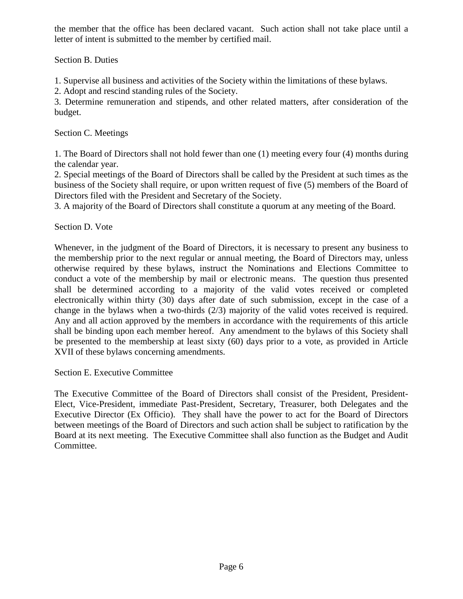the member that the office has been declared vacant. Such action shall not take place until a letter of intent is submitted to the member by certified mail.

Section B. Duties

1. Supervise all business and activities of the Society within the limitations of these bylaws.

2. Adopt and rescind standing rules of the Society.

3. Determine remuneration and stipends, and other related matters, after consideration of the budget.

Section C. Meetings

1. The Board of Directors shall not hold fewer than one (1) meeting every four (4) months during the calendar year.

2. Special meetings of the Board of Directors shall be called by the President at such times as the business of the Society shall require, or upon written request of five (5) members of the Board of Directors filed with the President and Secretary of the Society.

3. A majority of the Board of Directors shall constitute a quorum at any meeting of the Board.

Section D. Vote

Whenever, in the judgment of the Board of Directors, it is necessary to present any business to the membership prior to the next regular or annual meeting, the Board of Directors may, unless otherwise required by these bylaws, instruct the Nominations and Elections Committee to conduct a vote of the membership by mail or electronic means. The question thus presented shall be determined according to a majority of the valid votes received or completed electronically within thirty (30) days after date of such submission, except in the case of a change in the bylaws when a two-thirds (2/3) majority of the valid votes received is required. Any and all action approved by the members in accordance with the requirements of this article shall be binding upon each member hereof. Any amendment to the bylaws of this Society shall be presented to the membership at least sixty (60) days prior to a vote, as provided in Article XVII of these bylaws concerning amendments.

Section E. Executive Committee

The Executive Committee of the Board of Directors shall consist of the President, President-Elect, Vice-President, immediate Past-President, Secretary, Treasurer, both Delegates and the Executive Director (Ex Officio). They shall have the power to act for the Board of Directors between meetings of the Board of Directors and such action shall be subject to ratification by the Board at its next meeting. The Executive Committee shall also function as the Budget and Audit Committee.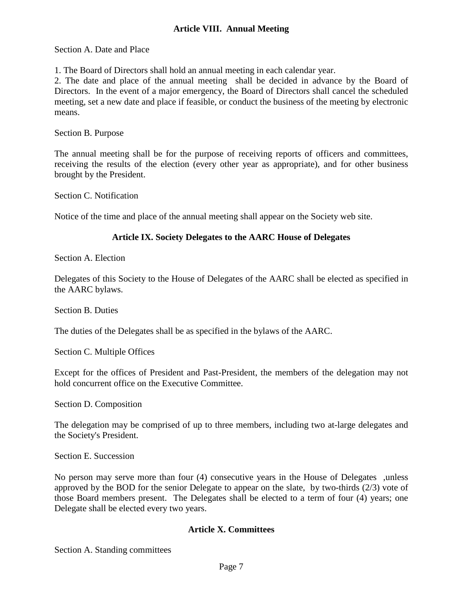#### **Article VIII. Annual Meeting**

Section A. Date and Place

1. The Board of Directors shall hold an annual meeting in each calendar year.

2. The date and place of the annual meeting shall be decided in advance by the Board of Directors. In the event of a major emergency, the Board of Directors shall cancel the scheduled meeting, set a new date and place if feasible, or conduct the business of the meeting by electronic means.

Section B. Purpose

The annual meeting shall be for the purpose of receiving reports of officers and committees, receiving the results of the election (every other year as appropriate), and for other business brought by the President.

Section C. Notification

Notice of the time and place of the annual meeting shall appear on the Society web site.

#### **Article IX. Society Delegates to the AARC House of Delegates**

Section A. Election

Delegates of this Society to the House of Delegates of the AARC shall be elected as specified in the AARC bylaws.

Section B. Duties

The duties of the Delegates shall be as specified in the bylaws of the AARC.

Section C. Multiple Offices

Except for the offices of President and Past-President, the members of the delegation may not hold concurrent office on the Executive Committee.

Section D. Composition

The delegation may be comprised of up to three members, including two at-large delegates and the Society's President.

Section E. Succession

No person may serve more than four (4) consecutive years in the House of Delegates ,unless approved by the BOD for the senior Delegate to appear on the slate, by two-thirds (2/3) vote of those Board members present. The Delegates shall be elected to a term of four (4) years; one Delegate shall be elected every two years.

#### **Article X. Committees**

Section A. Standing committees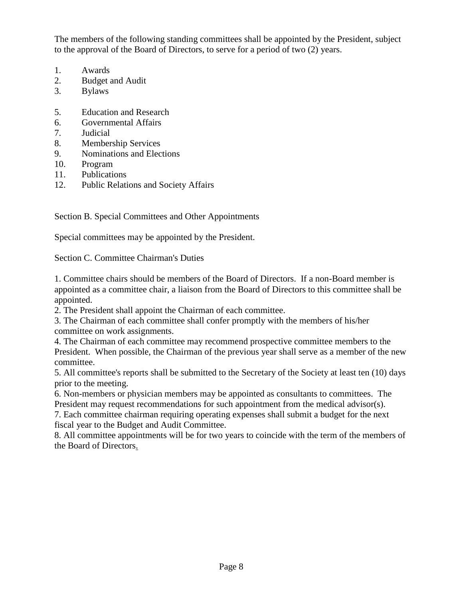The members of the following standing committees shall be appointed by the President, subject to the approval of the Board of Directors, to serve for a period of two (2) years.

- 1. Awards
- 2. Budget and Audit
- 3. Bylaws
- 5. Education and Research
- 6. Governmental Affairs
- 7. Judicial
- 8. Membership Services
- 9. Nominations and Elections
- 10. Program
- 11. Publications
- 12. Public Relations and Society Affairs

Section B. Special Committees and Other Appointments

Special committees may be appointed by the President.

Section C. Committee Chairman's Duties

1. Committee chairs should be members of the Board of Directors. If a non-Board member is appointed as a committee chair, a liaison from the Board of Directors to this committee shall be appointed.

2. The President shall appoint the Chairman of each committee.

3. The Chairman of each committee shall confer promptly with the members of his/her committee on work assignments.

4. The Chairman of each committee may recommend prospective committee members to the President. When possible, the Chairman of the previous year shall serve as a member of the new committee.

5. All committee's reports shall be submitted to the Secretary of the Society at least ten (10) days prior to the meeting.

6. Non-members or physician members may be appointed as consultants to committees. The President may request recommendations for such appointment from the medical advisor(s).

7. Each committee chairman requiring operating expenses shall submit a budget for the next fiscal year to the Budget and Audit Committee.

8. All committee appointments will be for two years to coincide with the term of the members of the Board of Directors.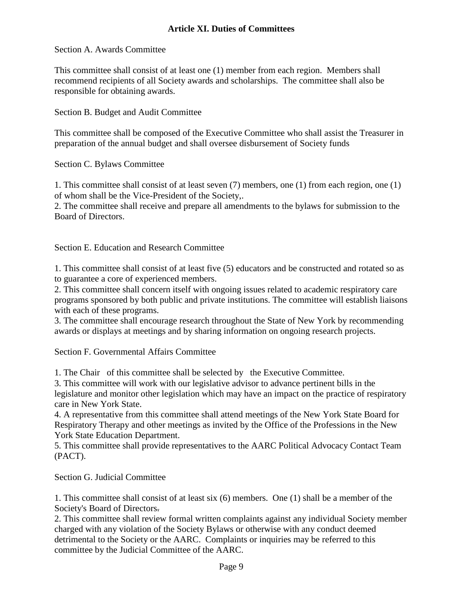## **Article XI. Duties of Committees**

#### Section A. Awards Committee

This committee shall consist of at least one (1) member from each region. Members shall recommend recipients of all Society awards and scholarships. The committee shall also be responsible for obtaining awards.

Section B. Budget and Audit Committee

This committee shall be composed of the Executive Committee who shall assist the Treasurer in preparation of the annual budget and shall oversee disbursement of Society funds

Section C. Bylaws Committee

1. This committee shall consist of at least seven (7) members, one (1) from each region, one (1) of whom shall be the Vice-President of the Society,.

2. The committee shall receive and prepare all amendments to the bylaws for submission to the Board of Directors.

Section E. Education and Research Committee

1. This committee shall consist of at least five (5) educators and be constructed and rotated so as to guarantee a core of experienced members.

2. This committee shall concern itself with ongoing issues related to academic respiratory care programs sponsored by both public and private institutions. The committee will establish liaisons with each of these programs.

3. The committee shall encourage research throughout the State of New York by recommending awards or displays at meetings and by sharing information on ongoing research projects.

Section F. Governmental Affairs Committee

1. The Chair of this committee shall be selected by the Executive Committee.

3. This committee will work with our legislative advisor to advance pertinent bills in the legislature and monitor other legislation which may have an impact on the practice of respiratory care in New York State.

4. A representative from this committee shall attend meetings of the New York State Board for Respiratory Therapy and other meetings as invited by the Office of the Professions in the New York State Education Department.

5. This committee shall provide representatives to the AARC Political Advocacy Contact Team (PACT).

Section G. Judicial Committee

1. This committee shall consist of at least six (6) members. One (1) shall be a member of the Society's Board of Directors.

2. This committee shall review formal written complaints against any individual Society member charged with any violation of the Society Bylaws or otherwise with any conduct deemed detrimental to the Society or the AARC. Complaints or inquiries may be referred to this committee by the Judicial Committee of the AARC.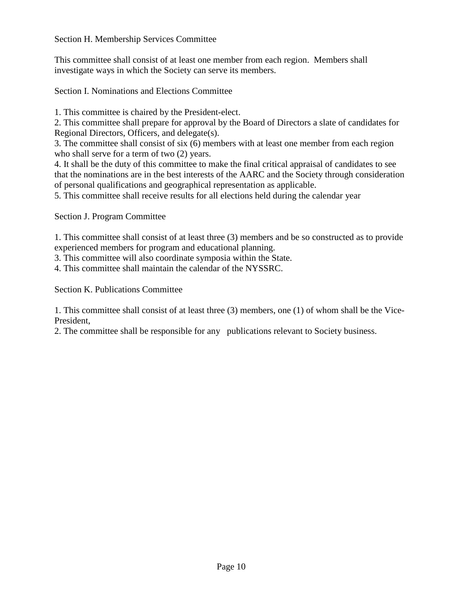Section H. Membership Services Committee

This committee shall consist of at least one member from each region. Members shall investigate ways in which the Society can serve its members.

Section I. Nominations and Elections Committee

1. This committee is chaired by the President-elect.

2. This committee shall prepare for approval by the Board of Directors a slate of candidates for Regional Directors, Officers, and delegate(s).

3. The committee shall consist of six (6) members with at least one member from each region who shall serve for a term of two  $(2)$  years.

4. It shall be the duty of this committee to make the final critical appraisal of candidates to see that the nominations are in the best interests of the AARC and the Society through consideration of personal qualifications and geographical representation as applicable.

5. This committee shall receive results for all elections held during the calendar year

Section J. Program Committee

1. This committee shall consist of at least three (3) members and be so constructed as to provide experienced members for program and educational planning.

3. This committee will also coordinate symposia within the State.

4. This committee shall maintain the calendar of the NYSSRC.

Section K. Publications Committee

1. This committee shall consist of at least three (3) members, one (1) of whom shall be the Vice-President,

2. The committee shall be responsible for any publications relevant to Society business.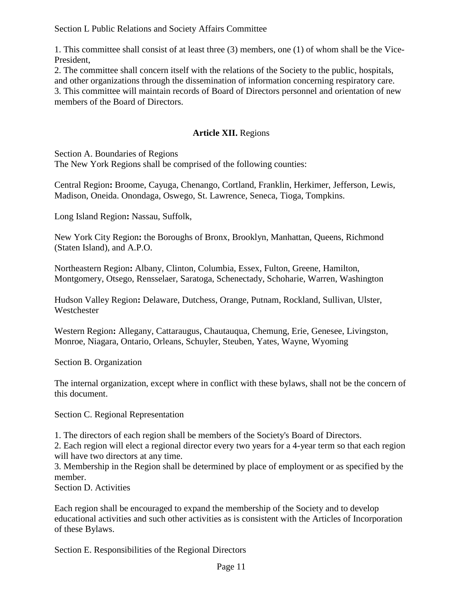Section L Public Relations and Society Affairs Committee

1. This committee shall consist of at least three (3) members, one (1) of whom shall be the Vice-President,

2. The committee shall concern itself with the relations of the Society to the public, hospitals, and other organizations through the dissemination of information concerning respiratory care. 3. This committee will maintain records of Board of Directors personnel and orientation of new members of the Board of Directors.

# **Article XII.** Regions

Section A. Boundaries of Regions

The New York Regions shall be comprised of the following counties:

Central Region**:** Broome, Cayuga, Chenango, Cortland, Franklin, Herkimer, Jefferson, Lewis, Madison, Oneida. Onondaga, Oswego, St. Lawrence, Seneca, Tioga, Tompkins.

Long Island Region**:** Nassau, Suffolk,

New York City Region**:** the Boroughs of Bronx, Brooklyn, Manhattan, Queens, Richmond (Staten Island), and A.P.O.

Northeastern Region**:** Albany, Clinton, Columbia, Essex, Fulton, Greene, Hamilton, Montgomery, Otsego, Rensselaer, Saratoga, Schenectady, Schoharie, Warren, Washington

Hudson Valley Region**:** Delaware, Dutchess, Orange, Putnam, Rockland, Sullivan, Ulster, Westchester

Western Region**:** Allegany, Cattaraugus, Chautauqua, Chemung, Erie, Genesee, Livingston, Monroe, Niagara, Ontario, Orleans, Schuyler, Steuben, Yates, Wayne, Wyoming

Section B. Organization

The internal organization, except where in conflict with these bylaws, shall not be the concern of this document.

Section C. Regional Representation

1. The directors of each region shall be members of the Society's Board of Directors.

2. Each region will elect a regional director every two years for a 4-year term so that each region will have two directors at any time.

3. Membership in the Region shall be determined by place of employment or as specified by the member.

Section D. Activities

Each region shall be encouraged to expand the membership of the Society and to develop educational activities and such other activities as is consistent with the Articles of Incorporation of these Bylaws.

Section E. Responsibilities of the Regional Directors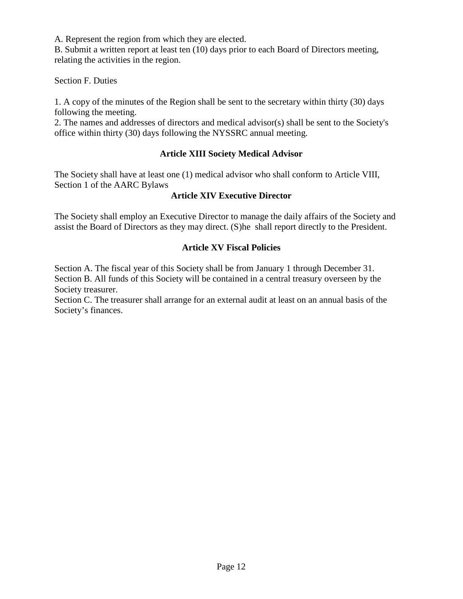A. Represent the region from which they are elected.

B. Submit a written report at least ten (10) days prior to each Board of Directors meeting, relating the activities in the region.

Section F. Duties

1. A copy of the minutes of the Region shall be sent to the secretary within thirty (30) days following the meeting.

2. The names and addresses of directors and medical advisor(s) shall be sent to the Society's office within thirty (30) days following the NYSSRC annual meeting.

# **Article XIII Society Medical Advisor**

The Society shall have at least one (1) medical advisor who shall conform to Article VIII, Section 1 of the AARC Bylaws

## **Article XIV Executive Director**

The Society shall employ an Executive Director to manage the daily affairs of the Society and assist the Board of Directors as they may direct. (S)he shall report directly to the President.

# **Article XV Fiscal Policies**

Section A. The fiscal year of this Society shall be from January 1 through December 31. Section B. All funds of this Society will be contained in a central treasury overseen by the Society treasurer.

Section C. The treasurer shall arrange for an external audit at least on an annual basis of the Society's finances.